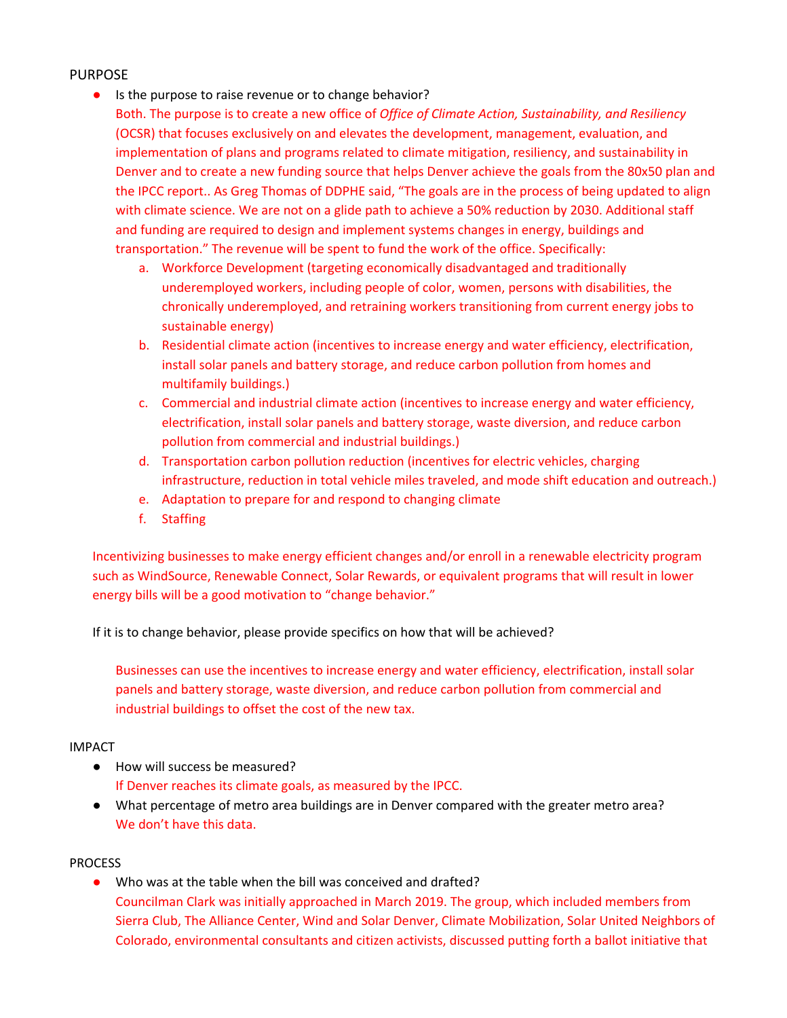## PURPOSE

● Is the purpose to raise revenue or to change behavior?

Both. The purpose is to create a new office of *Office of Climate Action, Sustainability, and Resiliency* (OCSR) that focuses exclusively on and elevates the development, management, evaluation, and implementation of plans and programs related to climate mitigation, resiliency, and sustainability in Denver and to create a new funding source that helps Denver achieve the goals from the 80x50 plan and the IPCC report.. As Greg Thomas of DDPHE said, "The goals are in the process of being updated to align with climate science. We are not on a glide path to achieve a 50% reduction by 2030. Additional staff and funding are required to design and implement systems changes in energy, buildings and transportation." The revenue will be spent to fund the work of the office. Specifically:

- a. Workforce Development (targeting economically disadvantaged and traditionally underemployed workers, including people of color, women, persons with disabilities, the chronically underemployed, and retraining workers transitioning from current energy jobs to sustainable energy)
- b. Residential climate action (incentives to increase energy and water efficiency, electrification, install solar panels and battery storage, and reduce carbon pollution from homes and multifamily buildings.)
- c. Commercial and industrial climate action (incentives to increase energy and water efficiency, electrification, install solar panels and battery storage, waste diversion, and reduce carbon pollution from commercial and industrial buildings.)
- d. Transportation carbon pollution reduction (incentives for electric vehicles, charging infrastructure, reduction in total vehicle miles traveled, and mode shift education and outreach.)
- e. Adaptation to prepare for and respond to changing climate
- f. Staffing

Incentivizing businesses to make energy efficient changes and/or enroll in a renewable electricity program such as WindSource, Renewable Connect, Solar Rewards, or equivalent programs that will result in lower energy bills will be a good motivation to "change behavior."

If it is to change behavior, please provide specifics on how that will be achieved?

Businesses can use the incentives to increase energy and water efficiency, electrification, install solar panels and battery storage, waste diversion, and reduce carbon pollution from commercial and industrial buildings to offset the cost of the new tax.

## IMPACT

- How will success be measured? If Denver reaches its climate goals, as measured by the IPCC.
- What percentage of metro area buildings are in Denver compared with the greater metro area? We don't have this data.

## PROCESS

Who was at the table when the bill was conceived and drafted? Councilman Clark was initially approached in March 2019. The group, which included members from Sierra Club, The Alliance Center, Wind and Solar Denver, Climate Mobilization, Solar United Neighbors of Colorado, environmental consultants and citizen activists, discussed putting forth a ballot initiative that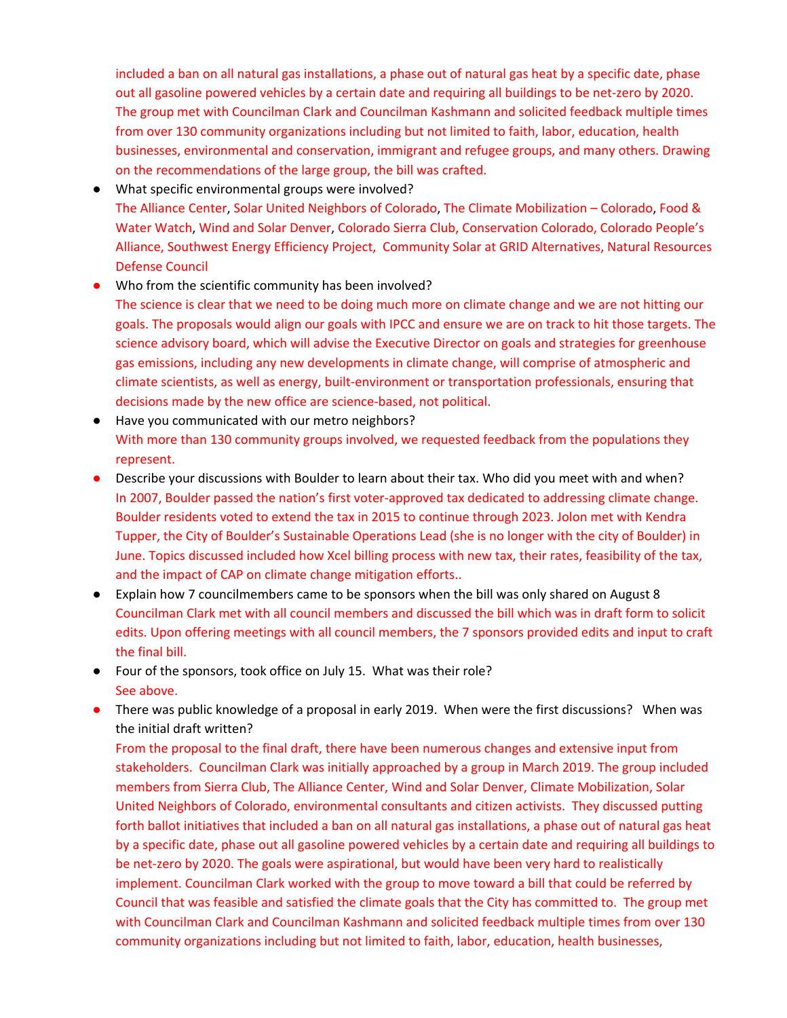included a ban on all natural gas installations, a phase out of natural gas heat by a specific date, phase out all gasoline powered vehicles by a certain date and requiring all buildings to be net-zero by 2020. The group met with Councilman Clark and Councilman Kashmann and solicited feedback multiple times from over 130 community organizations including but not limited to faith, labor, education, health businesses, environmental and conservation, immigrant and refugee groups, and many others. Drawing on the recommendations of the large group, the bill was crafted.

- What specific environmental groups were involved? The Alliance Center, Solar United Neighbors of Colorado, The Climate Mobilization – Colorado, Food & Water Watch, Wind and Solar Denver, Colorado Sierra Club, Conservation Colorado, Colorado People's Alliance, Southwest Energy Efficiency Project, Community Solar at GRID Alternatives, Natural Resources Defense Council
- Who from the scientific community has been involved?
- The science is clear that we need to be doing much more on climate change and we are not hitting our goals. The proposals would align our goals with IPCC and ensure we are on track to hit those targets. The science advisory board, which will advise the Executive Director on goals and strategies for greenhouse gas emissions, including any new developments in climate change, will comprise of atmospheric and climate scientists, as well as energy, built-environment or transportation professionals, ensuring that decisions made by the new office are science-based, not political.
- Have you communicated with our metro neighbors? With more than 130 community groups involved, we requested feedback from the populations they represent.
- Describe your discussions with Boulder to learn about their tax. Who did you meet with and when? In 2007, Boulder passed the nation's first voter-approved tax dedicated to addressing climate change. Boulder residents voted to extend the tax in 2015 to continue through 2023. Jolon met with Kendra Tupper, the City of Boulder's Sustainable Operations Lead (she is no longer with the city of Boulder) in June. Topics discussed included how Xcel billing process with new tax, their rates, feasibility of the tax, and the impact of CAP on climate change mitigation efforts..
- Explain how 7 councilmembers came to be sponsors when the bill was only shared on August 8 Councilman Clark met with all council members and discussed the bill which was in draft form to solicit edits. Upon offering meetings with all council members, the 7 sponsors provided edits and input to craft the final bill.
- Four of the sponsors, took office on July 15. What was their role? See above.
- There was public knowledge of a proposal in early 2019. When were the first discussions? When was the initial draft written?

From the proposal to the final draft, there have been numerous changes and extensive input from stakeholders. Councilman Clark was initially approached by a group in March 2019. The group included members from Sierra Club, The Alliance Center, Wind and Solar Denver, Climate Mobilization, Solar United Neighbors of Colorado, environmental consultants and citizen activists. They discussed putting forth ballot initiatives that included a ban on all natural gas installations, a phase out of natural gas heat by a specific date, phase out all gasoline powered vehicles by a certain date and requiring all buildings to be net-zero by 2020. The goals were aspirational, but would have been very hard to realistically implement. Councilman Clark worked with the group to move toward a bill that could be referred by Council that was feasible and satisfied the climate goals that the City has committed to. The group met with Councilman Clark and Councilman Kashmann and solicited feedback multiple times from over 130 community organizations including but not limited to faith, labor, education, health businesses,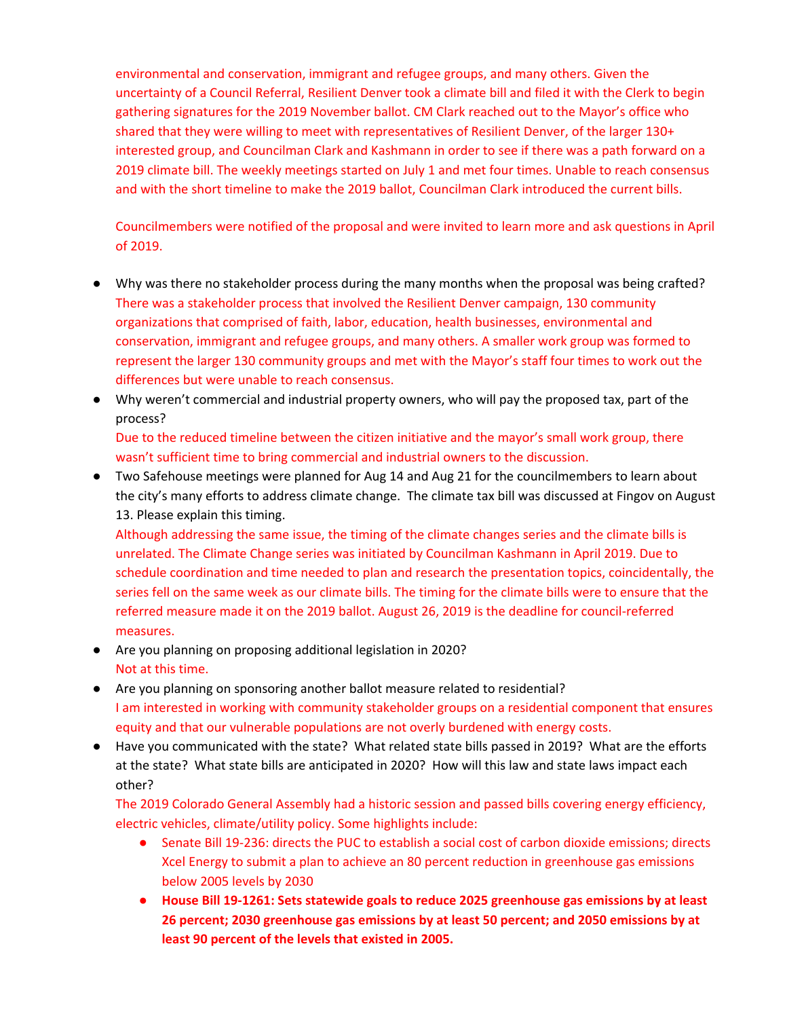environmental and conservation, immigrant and refugee groups, and many others. Given the uncertainty of a Council Referral, Resilient Denver took a climate bill and filed it with the Clerk to begin gathering signatures for the 2019 November ballot. CM Clark reached out to the Mayor's office who shared that they were willing to meet with representatives of Resilient Denver, of the larger 130+ interested group, and Councilman Clark and Kashmann in order to see if there was a path forward on a 2019 climate bill. The weekly meetings started on July 1 and met four times. Unable to reach consensus and with the short timeline to make the 2019 ballot, Councilman Clark introduced the current bills.

Councilmembers were notified of the proposal and were invited to learn more and ask questions in April of 2019.

- Why was there no stakeholder process during the many months when the proposal was being crafted? There was a stakeholder process that involved the Resilient Denver campaign, 130 community organizations that comprised of faith, labor, education, health businesses, environmental and conservation, immigrant and refugee groups, and many others. A smaller work group was formed to represent the larger 130 community groups and met with the Mayor's staff four times to work out the differences but were unable to reach consensus.
- Why weren't commercial and industrial property owners, who will pay the proposed tax, part of the process?

Due to the reduced timeline between the citizen initiative and the mayor's small work group, there wasn't sufficient time to bring commercial and industrial owners to the discussion.

● Two Safehouse meetings were planned for Aug 14 and Aug 21 for the councilmembers to learn about the city's many efforts to address climate change. The climate tax bill was discussed at Fingov on August 13. Please explain this timing.

Although addressing the same issue, the timing of the climate changes series and the climate bills is unrelated. The Climate Change series was initiated by Councilman Kashmann in April 2019. Due to schedule coordination and time needed to plan and research the presentation topics, coincidentally, the series fell on the same week as our climate bills. The timing for the climate bills were to ensure that the referred measure made it on the 2019 ballot. August 26, 2019 is the deadline for council-referred measures.

- Are you planning on proposing additional legislation in 2020? Not at this time.
- Are you planning on sponsoring another ballot measure related to residential? I am interested in working with community stakeholder groups on a residential component that ensures equity and that our vulnerable populations are not overly burdened with energy costs.
- Have you communicated with the state? What related state bills passed in 2019? What are the efforts at the state? What state bills are anticipated in 2020? How will this law and state laws impact each other?

The 2019 Colorado General Assembly had a historic session and passed bills covering energy efficiency, electric vehicles, climate/utility policy. Some highlights include:

- Senate Bill 19-236: directs the PUC to establish a social cost of carbon dioxide emissions; directs Xcel Energy to submit a plan to achieve an 80 percent reduction in greenhouse gas emissions below 2005 levels by 2030
- **● House Bill 19-1261: Sets statewide goals to reduce 2025 greenhouse gas emissions by at least 26 percent; 2030 greenhouse gas emissions by at least 50 percent; and 2050 emissions by at least 90 percent of the levels that existed in 2005.**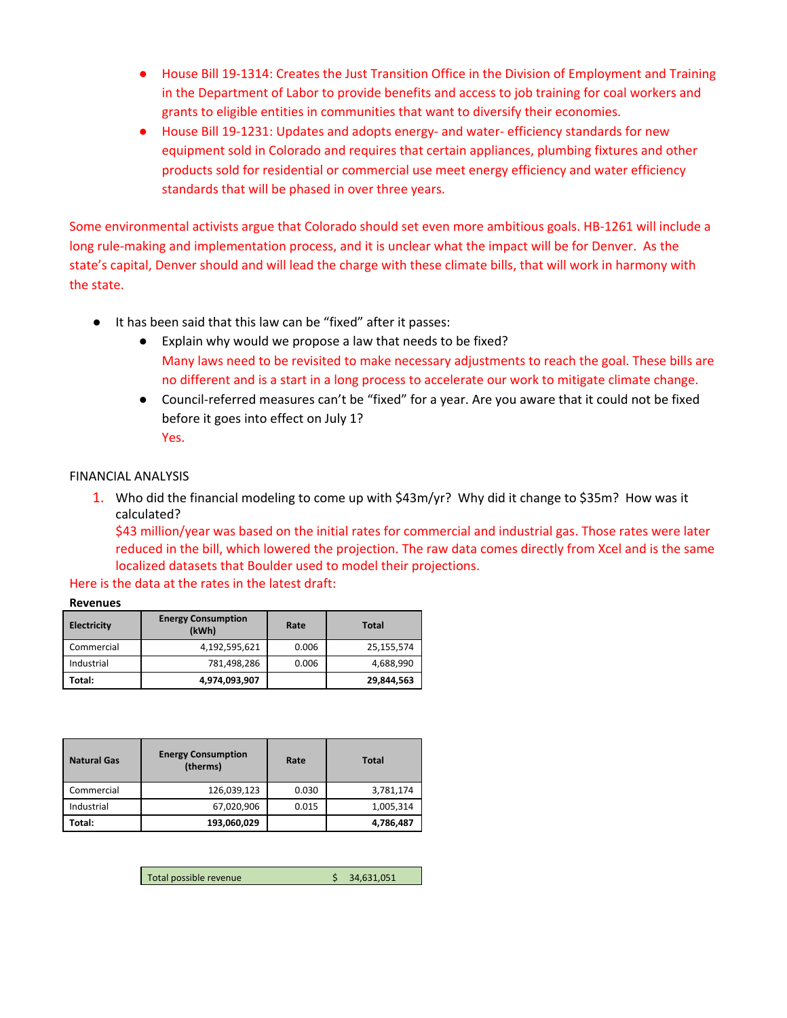- House Bill 19-1314: Creates the Just Transition Office in the Division of Employment and Training in the Department of Labor to provide benefits and access to job training for coal workers and grants to eligible entities in communities that want to diversify their economies.
- House Bill 19-1231: Updates and adopts energy- and water- efficiency standards for new equipment sold in Colorado and requires that certain appliances, plumbing fixtures and other products sold for residential or commercial use meet energy efficiency and water efficiency standards that will be phased in over three years.

Some environmental activists argue that Colorado should set even more ambitious goals. HB-1261 will include a long rule-making and implementation process, and it is unclear what the impact will be for Denver. As the state's capital, Denver should and will lead the charge with these climate bills, that will work in harmony with the state.

- It has been said that this law can be "fixed" after it passes:
	- Explain why would we propose a law that needs to be fixed? Many laws need to be revisited to make necessary adjustments to reach the goal. These bills are no different and is a start in a long process to accelerate our work to mitigate climate change.
	- Council-referred measures can't be "fixed" for a year. Are you aware that it could not be fixed before it goes into effect on July 1? Yes.

# FINANCIAL ANALYSIS

1. Who did the financial modeling to come up with \$43m/yr? Why did it change to \$35m? How was it calculated?

\$43 million/year was based on the initial rates for commercial and industrial gas. Those rates were later reduced in the bill, which lowered the projection. The raw data comes directly from Xcel and is the same localized datasets that Boulder used to model their projections.

Here is the data at the rates in the latest draft:

#### **Revenues**

| <b>Electricity</b> | <b>Energy Consumption</b><br>(kWh) | Rate  | Total      |
|--------------------|------------------------------------|-------|------------|
| Commercial         | 4,192,595,621                      | 0.006 | 25,155,574 |
| Industrial         | 781,498,286                        | 0.006 | 4,688,990  |
| Total:             | 4,974,093,907                      |       | 29,844,563 |

| <b>Natural Gas</b> | <b>Energy Consumption</b><br>(therms) | Rate  | <b>Total</b> |
|--------------------|---------------------------------------|-------|--------------|
| Commercial         | 126,039,123                           | 0.030 | 3,781,174    |
| Industrial         | 67,020,906                            | 0.015 | 1,005,314    |
| Total:             | 193,060,029                           |       | 4,786,487    |

Total possible revenue<br>
\$ 34,631,051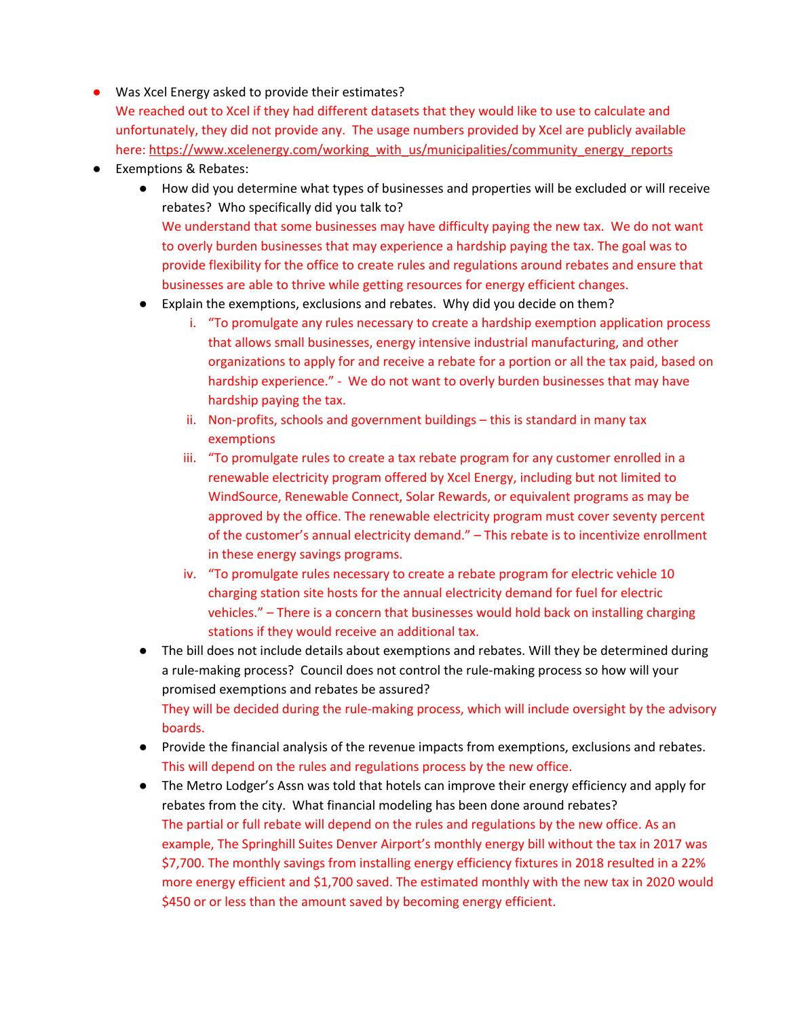- Was Xcel Energy asked to provide their estimates? We reached out to Xcel if they had different datasets that they would like to use to calculate and unfortunately, they did not provide any. The usage numbers provided by Xcel are publicly available here: [https://www.xcelenergy.com/working\\_with\\_us/municipalities/community\\_energy\\_reports](https://www.xcelenergy.com/working_with_us/municipalities/community_energy_reports)
- Exemptions & Rebates:
	- How did you determine what types of businesses and properties will be excluded or will receive rebates? Who specifically did you talk to? We understand that some businesses may have difficulty paying the new tax. We do not want to overly burden businesses that may experience a hardship paying the tax. The goal was to provide flexibility for the office to create rules and regulations around rebates and ensure that businesses are able to thrive while getting resources for energy efficient changes.
	- Explain the exemptions, exclusions and rebates. Why did you decide on them?
		- i. "To promulgate any rules necessary to create a hardship exemption application process that allows small businesses, energy intensive industrial manufacturing, and other organizations to apply for and receive a rebate for a portion or all the tax paid, based on hardship experience." - We do not want to overly burden businesses that may have hardship paying the tax.
		- ii. Non-profits, schools and government buildings this is standard in many tax exemptions
		- iii. "To promulgate rules to create a tax rebate program for any customer enrolled in a renewable electricity program offered by Xcel Energy, including but not limited to WindSource, Renewable Connect, Solar Rewards, or equivalent programs as may be approved by the office. The renewable electricity program must cover seventy percent of the customer's annual electricity demand." – This rebate is to incentivize enrollment in these energy savings programs.
		- iv. "To promulgate rules necessary to create a rebate program for electric vehicle 10 charging station site hosts for the annual electricity demand for fuel for electric vehicles." – There is a concern that businesses would hold back on installing charging stations if they would receive an additional tax.
	- The bill does not include details about exemptions and rebates. Will they be determined during a rule-making process? Council does not control the rule-making process so how will your promised exemptions and rebates be assured? They will be decided during the rule-making process, which will include oversight by the advisory boards.
	- Provide the financial analysis of the revenue impacts from exemptions, exclusions and rebates. This will depend on the rules and regulations process by the new office.
	- The Metro Lodger's Assn was told that hotels can improve their energy efficiency and apply for rebates from the city. What financial modeling has been done around rebates? The partial or full rebate will depend on the rules and regulations by the new office. As an example, The Springhill Suites Denver Airport's monthly energy bill without the tax in 2017 was \$7,700. The monthly savings from installing energy efficiency fixtures in 2018 resulted in a 22% more energy efficient and \$1,700 saved. The estimated monthly with the new tax in 2020 would \$450 or or less than the amount saved by becoming energy efficient.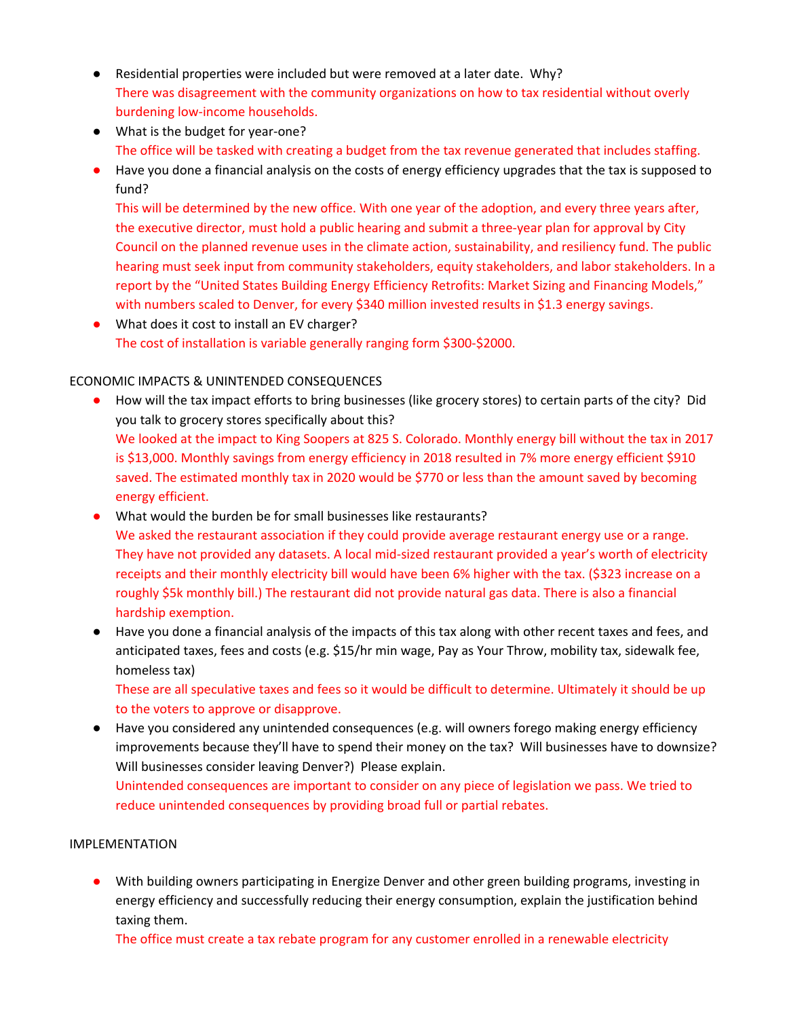- Residential properties were included but were removed at a later date. Why? There was disagreement with the community organizations on how to tax residential without overly burdening low-income households.
- What is the budget for year-one? The office will be tasked with creating a budget from the tax revenue generated that includes staffing.
- Have you done a financial analysis on the costs of energy efficiency upgrades that the tax is supposed to fund?

This will be determined by the new office. With one year of the adoption, and every three years after, the executive director, must hold a public hearing and submit a three-year plan for approval by City Council on the planned revenue uses in the climate action, sustainability, and resiliency fund. The public hearing must seek input from community stakeholders, equity stakeholders, and labor stakeholders. In a report by the "United States Building Energy Efficiency Retrofits: Market Sizing and Financing Models," with numbers scaled to Denver, for every \$340 million invested results in \$1.3 energy savings.

● What does it cost to install an EV charger? The cost of installation is variable generally ranging form \$300-\$2000.

# ECONOMIC IMPACTS & UNINTENDED CONSEQUENCES

- How will the tax impact efforts to bring businesses (like grocery stores) to certain parts of the city? Did you talk to grocery stores specifically about this? We looked at the impact to King Soopers at 825 S. Colorado. Monthly energy bill without the tax in 2017 is \$13,000. Monthly savings from energy efficiency in 2018 resulted in 7% more energy efficient \$910 saved. The estimated monthly tax in 2020 would be \$770 or less than the amount saved by becoming energy efficient.
- What would the burden be for small businesses like restaurants? We asked the restaurant association if they could provide average restaurant energy use or a range. They have not provided any datasets. A local mid-sized restaurant provided a year's worth of electricity receipts and their monthly electricity bill would have been 6% higher with the tax. (\$323 increase on a roughly \$5k monthly bill.) The restaurant did not provide natural gas data. There is also a financial hardship exemption.
- Have you done a financial analysis of the impacts of this tax along with other recent taxes and fees, and anticipated taxes, fees and costs (e.g. \$15/hr min wage, Pay as Your Throw, mobility tax, sidewalk fee, homeless tax)

These are all speculative taxes and fees so it would be difficult to determine. Ultimately it should be up to the voters to approve or disapprove.

● Have you considered any unintended consequences (e.g. will owners forego making energy efficiency improvements because they'll have to spend their money on the tax? Will businesses have to downsize? Will businesses consider leaving Denver?) Please explain. Unintended consequences are important to consider on any piece of legislation we pass. We tried to

reduce unintended consequences by providing broad full or partial rebates.

## IMPLEMENTATION

● With building owners participating in Energize Denver and other green building programs, investing in energy efficiency and successfully reducing their energy consumption, explain the justification behind taxing them.

The office must create a tax rebate program for any customer enrolled in a renewable electricity